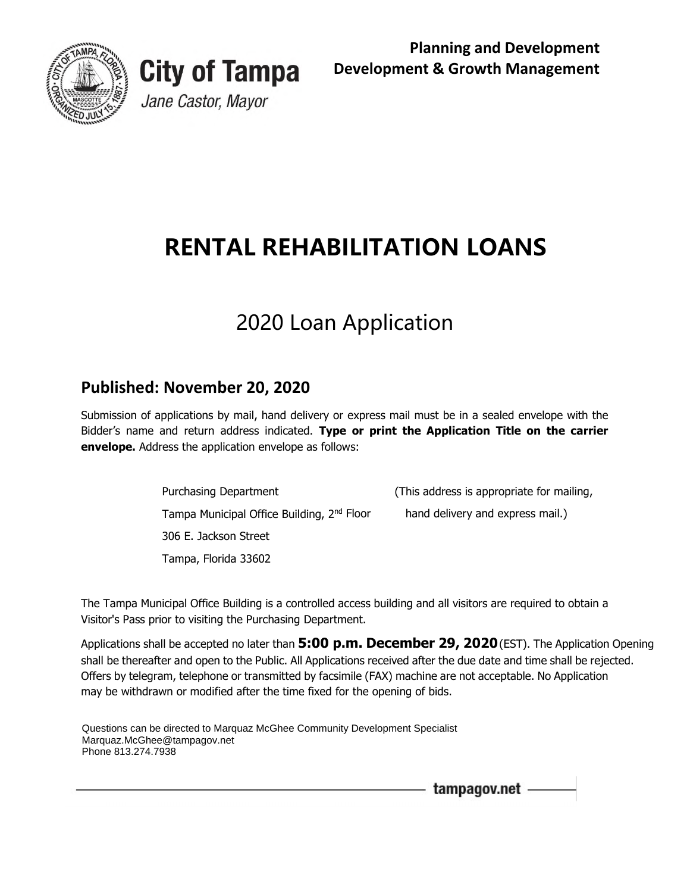

 **Planning and Development Development & Growth Management** 

# **RENTAL REHABILITATION LOANS**

# 2020 Loan Application

# **Published: November 20, 2020**

**City of Tampa** 

Jane Castor, Mayor

 Submission of applications by mail, hand delivery or express mail must be in a sealed envelope with the Bidder's name and return address indicated. **Type or print the Application Title on the carrier envelope.** Address the application envelope as follows:

> **Purchasing Department** Tampa Municipal Office Building,  $2^{nd}$  Floor hand delivery and express mail.) 306 E. Jackson Street

(This address is appropriate for mailing,

Tampa, Florida 33602<br>The Tampa Municipal Office Building is a controlled access building and all visitors are required to obtain a Visitor's Pass prior to visiting the Purchasing Department.

Visitor's Pass prior to visiting the Purchasing Department.<br>Applications shall be accepted no later than **5:00 p.m. December 29, 2020** (EST). The Application Opening shall be thereafter and open to the Public. All Applications received after the due date and time shall be rejected. Offers by telegram, telephone or transmitted by facsimile (FAX) machine are not acceptable. No Application may be withdrawn or modified after the time fixed for the opening of bids.

Questions can be directed to Marquaz McGhee Community Development Specialist Marquaz.McGhee@tampagov.net Phone 813.274.7938

tampagov.net -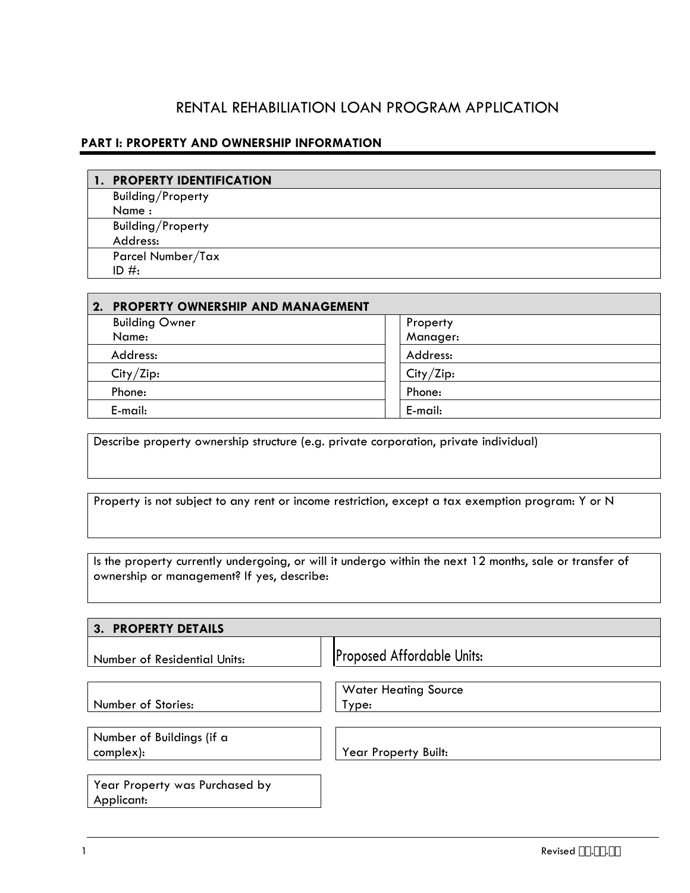## RENTAL REHABILIATION LOAN PROGRAM APPLICATION

| <b>PART I: PROPERTY AND OWNERSHIP INFORMATION</b> |  |  |  |  |  |
|---------------------------------------------------|--|--|--|--|--|
| <b>PROPERTY IDENTIFICATION</b>                    |  |  |  |  |  |
| Building/Property                                 |  |  |  |  |  |
| Name:                                             |  |  |  |  |  |
| Building/Property                                 |  |  |  |  |  |
| Address:                                          |  |  |  |  |  |
| Parcel Number/Tax                                 |  |  |  |  |  |
| ID $#$ :                                          |  |  |  |  |  |

| 2. PROPERTY OWNERSHIP AND MANAGEMENT |           |
|--------------------------------------|-----------|
| <b>Building Owner</b>                | Property  |
| Name:                                | Manager:  |
| Address:                             | Address:  |
| City/Zip:                            | City/Zip: |
| Phone:                               | Phone:    |
| E-mail:                              | E-mail:   |

Describe property ownership structure (e.g. private corporation, private individual)

Property is not subject to any rent or income restriction, except a tax exemption program: Y or N

Is the property currently undergoing, or will it undergo within the next 12 months, sale or transfer of ownership or management? If yes, describe:

| <b>PROPERTY DETAILS</b><br>3.                |                                      |  |  |  |  |
|----------------------------------------------|--------------------------------------|--|--|--|--|
| Number of Residential Units:                 | <b>Proposed Affordable Units:</b>    |  |  |  |  |
| Number of Stories:                           | <b>Water Heating Source</b><br>Type: |  |  |  |  |
| Number of Buildings (if a<br>complex):       | <b>Year Property Built:</b>          |  |  |  |  |
| Year Property was Purchased by<br>Applicant: |                                      |  |  |  |  |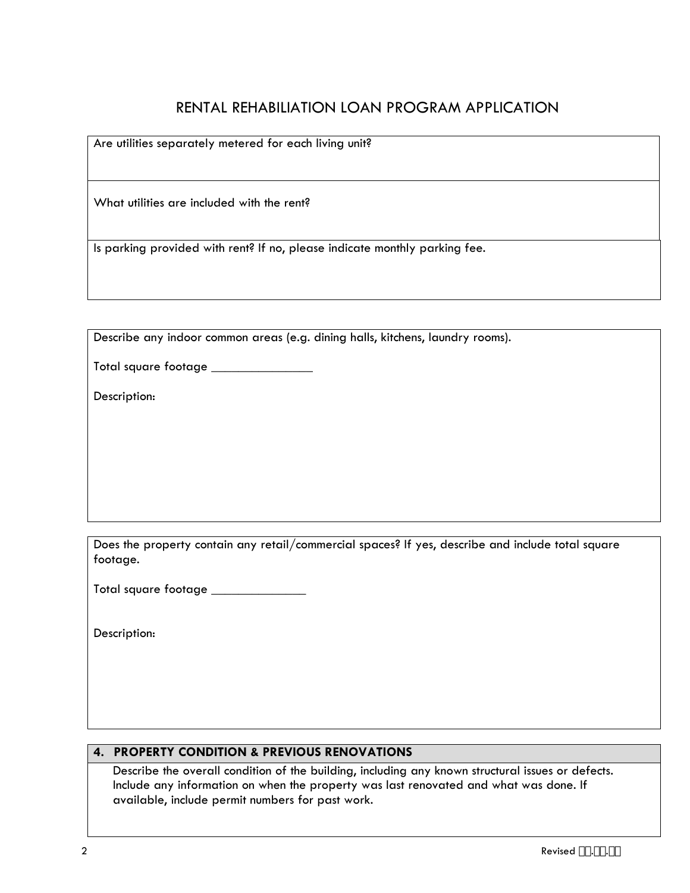# RENTAL REHABILIATION LOAN PROGRAM APPLICATION

Are utilities separately metered for each living unit?

What utilities are included with the rent?

Is parking provided with rent? If no, please indicate monthly parking fee.

Describe any indoor common areas (e.g. dining halls, kitchens, laundry rooms).

Total square footage \_\_\_\_\_\_

Description:

footage. Does the property contain any retail/commercial spaces? If yes, describe and include total square

Total square footage

Description:

#### **4. PROPERTY CONDITION & PREVIOUS RENOVATIONS**

Describe the overall condition of the building, including any known structural issues or defects. Include any information on when the property was last renovated and what was done. If available, include permit numbers for past work.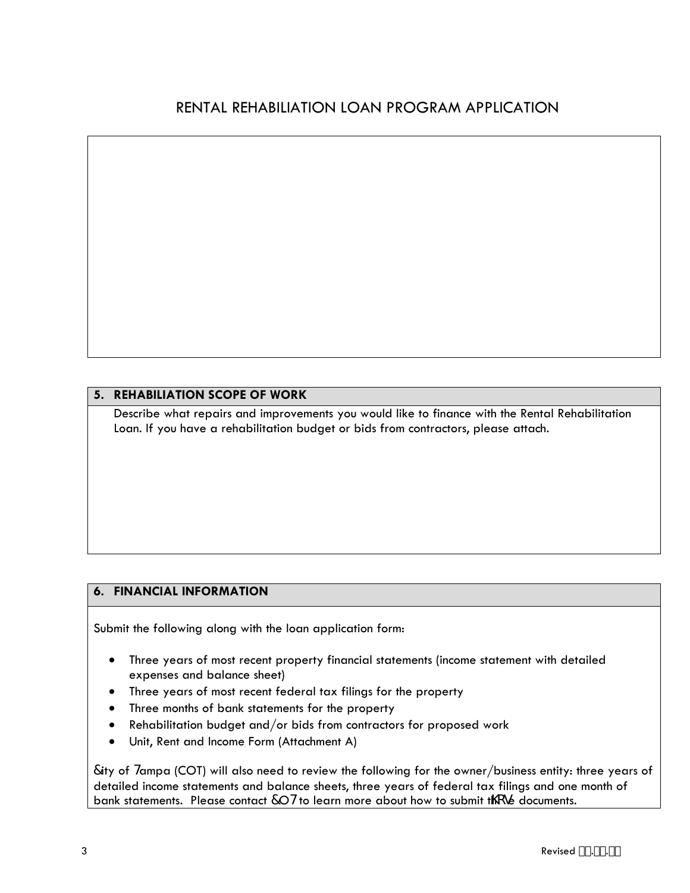#### **5. REHABILIATION SCOPE OF WORK**

 Loan. If you have a rehabilitation budget or bids from contractors, please attach. Describe what repairs and improvements you would like to finance with the Rental Rehabilitation

### **6. FINANCIAL INFORMATION**

Submit the following along with the loan application form:

- Three years of most recent property financial statements (income statement with detailed expenses and balance sheet)
- Three years of most recent federal tax filings for the property
- Three months of bank statements for the property
- Rehabilitation budget and/or bids from contractors for proposed work
- Unit, Rent and Income Form (Attachment A)

7ity of Hampa (COT) will also need to review the following for the owner/business entity: three years of detailed income statements and balance sheets, three years of federal tax filings and one month of bank statements. Please contact 70Hto learn more about how to submit thcop documents.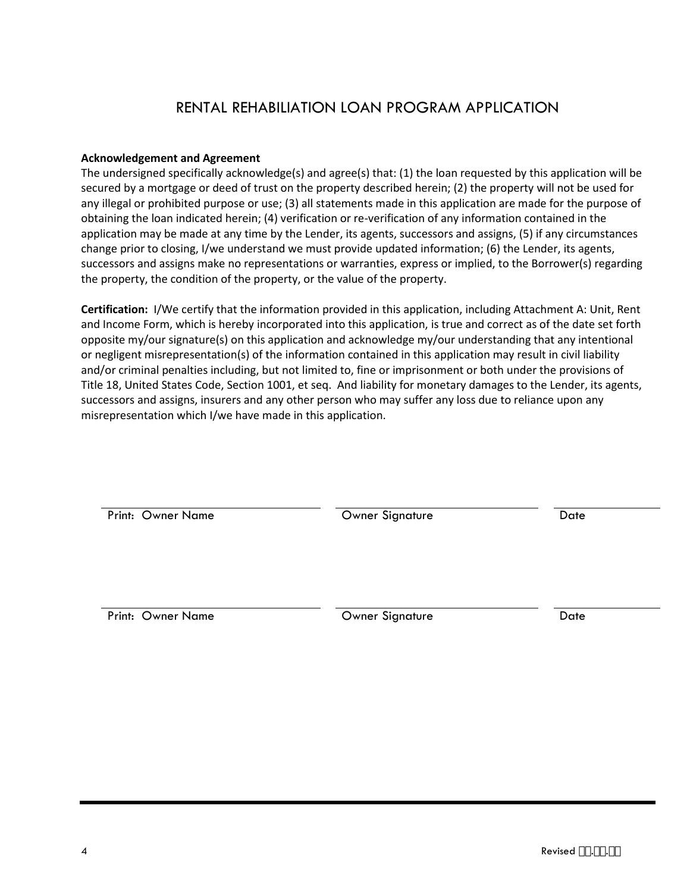## RENTAL REHABILIATION LOAN PROGRAM APPLICATION

#### **Acknowledgement and Agreement**

 The undersigned specifically acknowledge(s) and agree(s) that: (1) the loan requested by this application will be secured by a mortgage or deed of trust on the property described herein; (2) the property will not be used for any illegal or prohibited purpose or use; (3) all statements made in this application are made for the purpose of obtaining the loan indicated herein; (4) verification or re-verification of any information contained in the application may be made at any time by the Lender, its agents, successors and assigns, (5) if any circumstances change prior to closing, I/we understand we must provide updated information; (6) the Lender, its agents, successors and assigns make no representations or warranties, express or implied, to the Borrower(s) regarding the property, the condition of the property, or the value of the property.

 **Certification:** I/We certify that the information provided in this application, including Attachment A: Unit, Rent and/or criminal penalties including, but not limited to, fine or imprisonment or both under the provisions of misrepresentation which I/we have made in this application. and Income Form, which is hereby incorporated into this application, is true and correct as of the date set forth opposite my/our signature(s) on this application and acknowledge my/our understanding that any intentional or negligent misrepresentation(s) of the information contained in this application may result in civil liability Title 18, United States Code, Section 1001, et seq. And liability for monetary damages to the Lender, its agents, successors and assigns, insurers and any other person who may suffer any loss due to reliance upon any

| Print: Owner Name | Owner Signature | Date |
|-------------------|-----------------|------|
|                   |                 |      |
| Print: Owner Name | Owner Signature | Date |